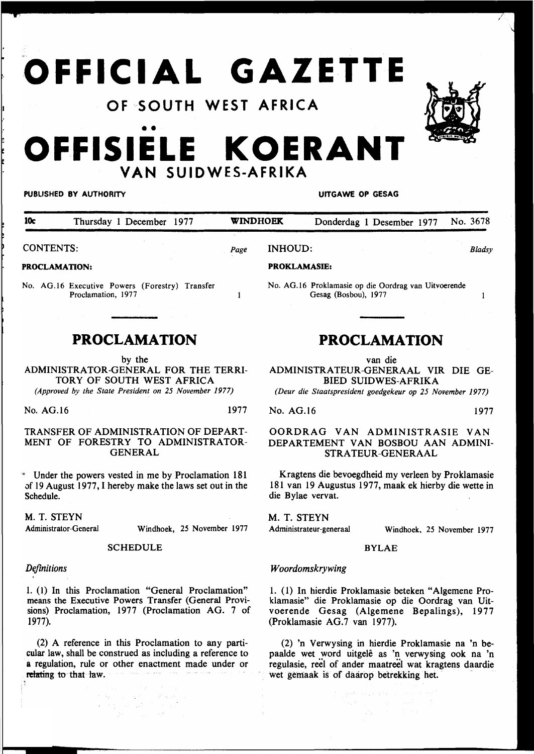# **OFFICIAL GAZETTE**

## **OF** ~SOUTH **WEST AFRICA**

# •• **OFFISIELE KOERANT VAN SUIDWES-AFRIKA**

#### PUBLISHED BY AUTHORITY **AUTHORITY Example 20 and 20 and 20 and 20 and 20 and 20 and 20 and 20 and 20 and 20 and 20 and 20 and 20 and 20 and 20 and 20 and 20 and 20 and 20 and 20 and 20 and 20 and 20 and 20 and 20 and 20**

No. AG.16 Proklamasie op die Oordrag van Uitvoerende

Gesag (Bosbou), 1977

| 10c              | Thursday 1 December 1977 |      | <b>WINDHOEK</b> |                     |  | Donderdag 1 Desember 1977 | No. 3678 |
|------------------|--------------------------|------|-----------------|---------------------|--|---------------------------|----------|
| <b>CONTENTS:</b> |                          | Page | <b>INHOUD:</b>  |                     |  | <b>Blads</b> y            |          |
| PROCLAMATION:    |                          |      |                 | <b>PROKLAMASIE:</b> |  |                           |          |

 $\mathbf{1}$ 

#### PROCLAMATION:

No. AG.16 Executive Powers (Forestry) Transfer Proclamation, 1977

### **PROCLAMATION**

by the

ADMINISTRATOR-GENERAL FOR THE TERRI-TORY OF SOUTH WEST AFRICA *(Approved by the State President on 25 November 1977)* 

No. AG.16 1977

#### TRANSFER OF ADMINISTRATION OF DEPART-MENT OF FORESTRY TO ADMINISTRATOR-GENERAL

Under the powers vested in me by Proclamation 181 of 19 August 1977, I hereby make the laws set out in the Schedule.

M. T. STEYN

Administrator-General

SCHEDULE

Windhoek, 25 November 1977

#### *Definitions*

1. (1) In this Proclamation "General Proclamation" means the Executive Powers Transfer (General Provisions) Proclamation, 1977 (Proclamation AG. 7 of 1977).

(2) A reference in this Proclamation to any particular law, shall be construed as including a reference to a regulation, rule or other enactment made under or relating to that law.

インクロードは、インク<br>ディカリーに出力しており、<br>アナバング・ストール

# **PROCLAMATION**

van die

ADMINISTRATEUR-GENERAAL VIR DIE GE-BIED SUIDWES-AFRIKA

*(Deur die Staatspresident goedgekeur op 25 November 1977)* 

No. AG.16 1977

#### OORDRAG VAN ADMINISTRASIE VAN DEPARTEMENT VAN BOSBOU AAN ADMINI-STRATEUR-GENERAAL

Kragtens die bevoegdheid my verleen by Proklamasie 181 van 19 Augustus 1977, maak ek hierby die wette in die Bylae vervat.

M. T. STEYN Administrateur-generaal

Windhoek, 25 November 1977

#### BYLAE

#### *Woordomskrywing*

1. ( 1) In hierdie Proklamasie beteken "Algemene Proklamasie" die Proklamasie op die Oordrag van Uitvoerende Gesag (Algemene Bepalings), 1977 (Proklamasie AG.7 van 1977).

(2) 'n Verwysing in hierdie Proklamasie na 'n bepaalde wet word uitgelê as 'n verwysing ook na 'n regulasie, reel of ander maatreel wat kragtens daardie wet gemaak is of daarop betrekking het.



 $\mathbf{1}$